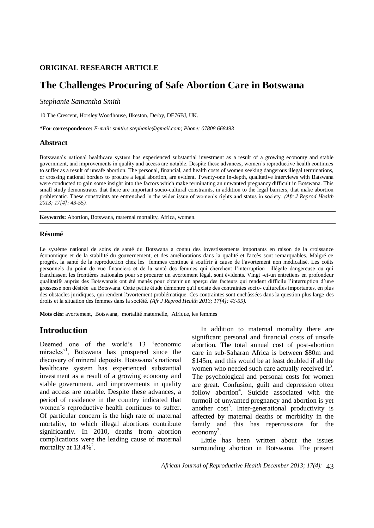## **ORIGINAL RESEARCH ARTICLE**

# **The Challenges Procuring of Safe Abortion Care in Botswana**

*Stephanie Samantha Smith*

10 The Crescent, Horsley Woodhouse, IIkeston, Derby, DE76BJ, UK.

**\*For correspondence:** *E-mail: smith.s.stephanie@gmail.com; Phone: 07808 668493*

### **Abstract**

Botswana's national healthcare system has experienced substantial investment as a result of a growing economy and stable government, and improvements in quality and access are notable. Despite these advances, women's reproductive health continues to suffer as a result of unsafe abortion. The personal, financial, and health costs of women seeking dangerous illegal terminations, or crossing national borders to procure a legal abortion, are evident. Twenty-one in-depth, qualitative interviews with Batswana were conducted to gain some insight into the factors which make terminating an unwanted pregnancy difficult in Botswana. This small study demonstrates that there are important socio-cultural constraints, in addition to the legal barriers, that make abortion problematic. These constraints are entrenched in the wider issue of women's rights and status in society. *(Afr J Reprod Health 2013; 17[4]: 43-55).*

**Keywords:** Abortion, Botswana, maternal mortality, Africa, women.

### **Résumé**

Le système national de soins de santé du Botswana a connu des investissements importants en raison de la croissance économique et de la stabilité du gouvernement, et des améliorations dans la qualité et l'accès sont remarquables. Malgré ce progrès, la santé de la reproduction chez les femmes continue à souffrir à cause de l'avortement non médicalisé. Les coûts personnels du point de vue financiers et de la santé des femmes qui cherchent l'interruption illégale dangereuse ou qui franchissent les frontières nationales pour se procurer un avortement légal, sont évidents. Vingt -et-un entretiens en profondeur qualitatifs auprès des Botswanais ont été menés pour obtenir un aperçu des facteurs qui rendent difficile l'interruption d'une grossesse non désirée au Botswana. Cette petite étude démontre qu'il existe des contraintes socio- culturelles importantes, en plus des obstacles juridiques, qui rendent l'avortement problématique. Ces contraintes sont enchâssées dans la question plus large des droits et la situation des femmes dans la société. *(Afr J Reprod Health 2013; 17[4]: 43-55).*

**Mots clés:** avortement, Botswana, mortalité maternelle, Afrique, les femmes

## **Introduction**

Deemed one of the world's 13 'economic miracles<sup>1</sup>, Botswana has prospered since the discovery of mineral deposits. Botswana's national healthcare system has experienced substantial investment as a result of a growing economy and stable government, and improvements in quality and access are notable. Despite these advances, a period of residence in the country indicated that women's reproductive health continues to suffer. Of particular concern is the high rate of maternal mortality, to which illegal abortions contribute significantly. In 2010, deaths from abortion complications were the leading cause of maternal mortality at  $13.4\%$ <sup>2</sup>.

In addition to maternal mortality there are significant personal and financial costs of unsafe abortion. The total annual cost of post-abortion care in sub-Saharan Africa is between \$80m and \$145m, and this would be at least doubled if all the women who needed such care actually received it<sup>3</sup>. The psychological and personal costs for women are great. Confusion, guilt and depression often follow abortion<sup>4</sup>. Suicide associated with the turmoil of unwanted pregnancy and abortion is yet another cost<sup>5</sup>. Inter-generational productivity is affected by maternal deaths or morbidity in the family and this has repercussions for the  $e \text{conomy}^3$ .

Little has been written about the issues surrounding abortion in Botswana. The present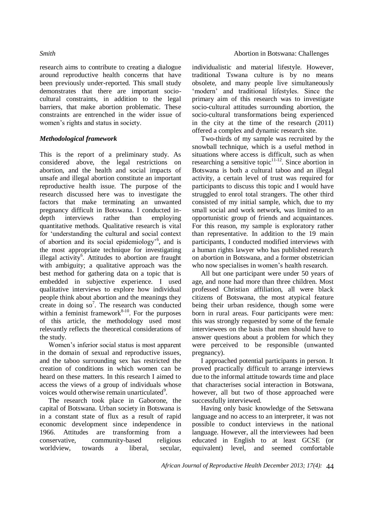research aims to contribute to creating a dialogue around reproductive health concerns that have been previously under-reported. This small study demonstrates that there are important sociocultural constraints, in addition to the legal barriers, that make abortion problematic. These constraints are entrenched in the wider issue of women's rights and status in society.

### *Methodological framework*

This is the report of a preliminary study. As considered above, the legal restrictions on abortion, and the health and social impacts of unsafe and illegal abortion constitute an important reproductive health issue. The purpose of the research discussed here was to investigate the factors that make terminating an unwanted pregnancy difficult in Botswana. I conducted indepth interviews rather than employing quantitative methods. Qualitative research is vital for 'understanding the cultural and social context of abortion and its social epidemiology'<sup>6</sup> , and is the most appropriate technique for investigating illegal activity<sup>6</sup>. Attitudes to abortion are fraught with ambiguity; a qualitative approach was the best method for gathering data on a topic that is embedded in subjective experience. I used qualitative interviews to explore how individual people think about abortion and the meanings they create in doing  $so^7$ . The research was conducted within a feminist framework $8-10$ . For the purposes of this article, the methodology used most relevantly reflects the theoretical considerations of the study.

Women's inferior social status is most apparent in the domain of sexual and reproductive issues, and the taboo surrounding sex has restricted the creation of conditions in which women can be heard on these matters. In this research I aimed to access the views of a group of individuals whose voices would otherwise remain unarticulated<sup>9</sup>.

The research took place in Gaborone, the capital of Botswana. Urban society in Botswana is in a constant state of flux as a result of rapid economic development since independence in 1966. Attitudes are transforming from a conservative, community-based religious worldview, towards a liberal, secular,

individualistic and material lifestyle. However, traditional Tswana culture is by no means obsolete, and many people live simultaneously 'modern' and traditional lifestyles. Since the primary aim of this research was to investigate socio-cultural attitudes surrounding abortion, the socio-cultural transformations being experienced in the city at the time of the research (2011) offered a complex and dynamic research site.

Two-thirds of my sample was recruited by the snowball technique, which is a useful method in situations where access is difficult, such as when researching a sensitive topic $11-12$ . Since abortion in Botswana is both a cultural taboo and an illegal activity, a certain level of trust was required for participants to discuss this topic and I would have struggled to enrol total strangers. The other third consisted of my initial sample, which, due to my small social and work network, was limited to an opportunistic group of friends and acquaintances. For this reason, my sample is exploratory rather than representative. In addition to the 19 main participants, I conducted modified interviews with a human rights lawyer who has published research on abortion in Botswana, and a former obstetrician who now specialises in women's health research.

All but one participant were under 50 years of age, and none had more than three children. Most professed Christian affiliation, all were black citizens of Botswana, the most atypical feature being their urban residence, though some were born in rural areas. Four participants were men: this was strongly requested by some of the female interviewees on the basis that men should have to answer questions about a problem for which they were perceived to be responsible (unwanted pregnancy).

I approached potential participants in person. It proved practically difficult to arrange interviews due to the informal attitude towards time and place that characterises social interaction in Botswana, however, all but two of those approached were successfully interviewed.

Having only basic knowledge of the Setswana language and no access to an interpreter, it was not possible to conduct interviews in the national language. However, all the interviewees had been educated in English to at least GCSE (or equivalent) level, and seemed comfortable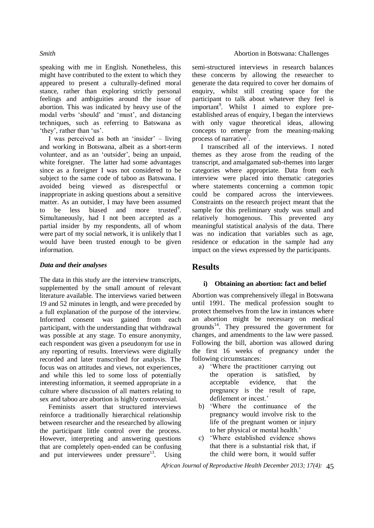speaking with me in English. Nonetheless, this might have contributed to the extent to which they appeared to present a culturally-defined moral stance, rather than exploring strictly personal feelings and ambiguities around the issue of abortion. This was indicated by heavy use of the modal verbs 'should' and 'must', and distancing techniques, such as referring to Batswana as 'they', rather than 'us'.

I was perceived as both an 'insider' – living and working in Botswana, albeit as a short-term volunteer, and as an 'outsider', being an unpaid, white foreigner. The latter had some advantages since as a foreigner I was not considered to be subject to the same code of taboo as Batswana. I avoided being viewed as disrespectful or inappropriate in asking questions about a sensitive matter. As an outsider, I may have been assumed to be less biased and more trusted<sup>9</sup>. Simultaneously, had I not been accepted as a partial insider by my respondents, all of whom were part of my social network, it is unlikely that I would have been trusted enough to be given information.

### *Data and their analyses*

The data in this study are the interview transcripts, supplemented by the small amount of relevant literature available. The interviews varied between 19 and 52 minutes in length, and were preceded by a full explanation of the purpose of the interview. Informed consent was gained from each participant, with the understanding that withdrawal was possible at any stage. To ensure anonymity, each respondent was given a pseudonym for use in any reporting of results. Interviews were digitally recorded and later transcribed for analysis. The focus was on attitudes and views, not experiences, and while this led to some loss of potentially interesting information, it seemed appropriate in a culture where discussion of all matters relating to sex and taboo are abortion is highly controversial.

Feminists assert that structured interviews reinforce a traditionally hierarchical relationship between researcher and the researched by allowing the participant little control over the process. However, interpreting and answering questions that are completely open-ended can be confusing and put interviewees under  $presure<sup>13</sup>$ . Using semi-structured interviews in research balances these concerns by allowing the researcher to generate the data required to cover her domains of enquiry, whilst still creating space for the participant to talk about whatever they feel is important<sup>9</sup>. Whilst I aimed to explore preestablished areas of enquiry, I began the interviews with only vague theoretical ideas, allowing concepts to emerge from the meaning-making process of narrative<sup>7</sup>.

I transcribed all of the interviews. I noted themes as they arose from the reading of the transcript, and amalgamated sub-themes into larger categories where appropriate. Data from each interview were placed into thematic categories where statements concerning a common topic could be compared across the interviewees. Constraints on the research project meant that the sample for this preliminary study was small and relatively homogenous. This prevented any meaningful statistical analysis of the data. There was no indication that variables such as age, residence or education in the sample had any impact on the views expressed by the participants.

## **Results**

## **i) Obtaining an abortion: fact and belief**

Abortion was comprehensively illegal in Botswana until 1991. The medical profession sought to protect themselves from the law in instances where an abortion might be necessary on medical grounds<sup>14</sup>. They pressured the government for changes, and amendments to the law were passed. Following the bill, abortion was allowed during the first 16 weeks of pregnancy under the following circumstances:

- a) 'Where the practitioner carrying out the operation is satisfied, by acceptable evidence, that the pregnancy is the result of rape, defilement or incest.'
- b) 'Where the continuance of the pregnancy would involve risk to the life of the pregnant women or injury to her physical or mental health.'
- c) 'Where established evidence shows that there is a substantial risk that, if the child were born, it would suffer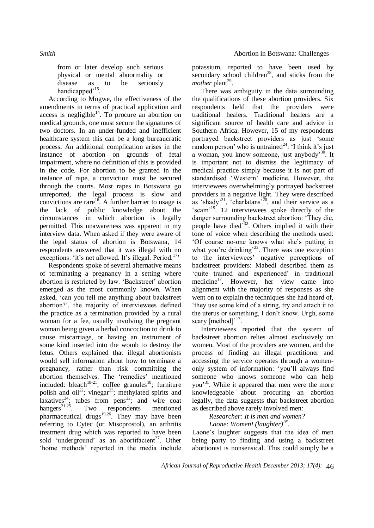*Smith Smith Smith Smith Smith Abortion in Botswana: Challenges <b><i>Smith Abortion in Botswana: Challenges <b><i>Smith Abortion in Botswana: Challenges* 

from or later develop such serious physical or mental abnormality or disease as to be seriously handicapped<sup>, 15</sup>.

According to Mogwe, the effectiveness of the amendments in terms of practical application and access is negligible<sup>14</sup>. To procure an abortion on medical grounds, one must secure the signatures of two doctors. In an under-funded and inefficient healthcare system this can be a long bureaucratic process. An additional complication arises in the instance of abortion on grounds of fetal impairment, where no definition of this is provided in the code. For abortion to be granted in the instance of rape, a conviction must be secured through the courts. Most rapes in Botswana go unreported, the legal process is slow and convictions are rare<sup>16</sup>. A further barrier to usage is the lack of public knowledge about the circumstances in which abortion is legally permitted. This unawareness was apparent in my interview data. When asked if they were aware of the legal status of abortion is Botswana, 14 respondents answered that it was illegal with no exceptions: 'it's not allowed. It's illegal. Period.<sup>17,</sup>

Respondents spoke of several alternative means of terminating a pregnancy in a setting where abortion is restricted by law. 'Backstreet' abortion emerged as the most commonly known. When asked, 'can you tell me anything about backstreet abortion?', the majority of interviewees defined the practice as a termination provided by a rural woman for a fee, usually involving the pregnant woman being given a herbal concoction to drink to cause miscarriage, or having an instrument of some kind inserted into the womb to destroy the fetus. Others explained that illegal abortionists would sell information about how to terminate a pregnancy, rather than risk committing the abortion themselves. The 'remedies' mentioned included: bleach<sup>18-21</sup>; coffee granules<sup>18</sup>; furniture polish and oil<sup>22</sup>; vinegar<sup>23</sup>; methylated spirits and laxatives<sup>24</sup>; tubes from pens<sup>22</sup>; and wire coat hangers<sup>21,25</sup>. Two respondents mentioned pharmaceutical drugs<sup>19,26</sup>. They may have been referring to Cytec (or Misoprostol), an arthritis treatment drug which was reported to have been sold 'underground' as an abortifacient<sup>27</sup>. Other 'home methods' reported in the media include

potassium, reported to have been used by secondary school children<sup>28</sup>, and sticks from the *mother* plant<sup>29</sup>.

There was ambiguity in the data surrounding the qualifications of these abortion providers. Six respondents held that the providers were traditional healers. Traditional healers are a significant source of health care and advice in Southern Africa. However, 15 of my respondents portrayed backstreet providers as just 'some random person' who is untrained<sup>24</sup>: 'I think it's just a woman, you know someone, just anybody'<sup>30</sup>. It is important not to dismiss the legitimacy of medical practice simply because it is not part of standardised 'Western' medicine. However, the interviewees overwhelmingly portrayed backstreet providers in a negative light. They were described as 'shady'<sup>31</sup>, 'charlatans'<sup>20</sup>, and their service as a 'scam<sup>'19</sup>. 12 interviewees spoke directly of the danger surrounding backstreet abortion: 'They die, people have died<sup>33</sup>. Others implied it with their tone of voice when describing the methods used: 'Of course no-one knows what she's putting in what you're drinking'<sup>22</sup>. There was one exception to the interviewees' negative perceptions of backstreet providers: Mabedi described them as 'quite trained and experienced' in traditional medicine<sup>17</sup>. However, her view came into alignment with the majority of responses as she went on to explain the techniques she had heard of, 'they use some kind of a string, try and attach it to the uterus or something, I don't know. Urgh, some scary  $[method]<sup>17</sup>$ .

Interviewees reported that the system of backstreet abortion relies almost exclusively on women. Most of the providers are women, and the process of finding an illegal practitioner and accessing the service operates through a womenonly system of information: 'you'll always find someone who knows someone who can help you'<sup>31</sup>. While it appeared that men were the more knowledgeable about procuring an abortion legally, the data suggests that backstreet abortion as described above rarely involved men:

*Researcher: It is men and women? Laone: Women! (laughter)<sup>26</sup> .*

Laone's laughter suggests that the idea of men being party to finding and using a backstreet abortionist is nonsensical. This could simply be a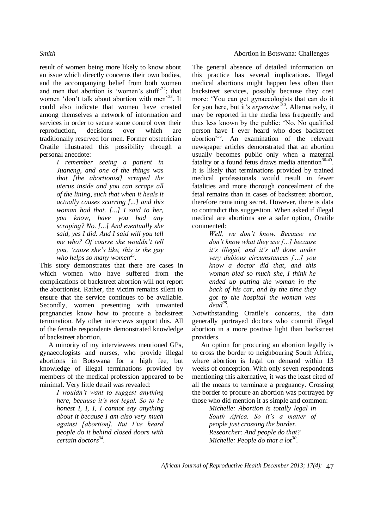result of women being more likely to know about an issue which directly concerns their own bodies, and the accompanying belief from both women and men that abortion is 'women's stuff<sup>22</sup>; that women 'don't talk about abortion with men'<sup>33</sup>. It could also indicate that women have created among themselves a network of information and services in order to secure some control over their reproduction, decisions over which are traditionally reserved for men. Former obstetrician Oratile illustrated this possibility through a personal anecdote:

> *I remember seeing a patient in Juaneng, and one of the things was that [the abortionist] scraped the uterus inside and you can scrape all of the lining, such that when it heals it actually causes scarring [...] and this woman had that. [...] I said to her, you know, have you had any scraping? No. [...] And eventually she said, yes I did. And I said will you tell me who? Of course she wouldn't tell you, 'cause she's like, this is the guy who helps so many women<sup>25</sup> .*

This story demonstrates that there are cases in which women who have suffered from the complications of backstreet abortion will not report the abortionist. Rather, the victim remains silent to ensure that the service continues to be available. Secondly, women presenting with unwanted pregnancies know how to procure a backstreet termination. My other interviews support this. All of the female respondents demonstrated knowledge of backstreet abortion.

A minority of my interviewees mentioned GPs, gynaecologists and nurses, who provide illegal abortions in Botswana for a high fee, but knowledge of illegal terminations provided by members of the medical profession appeared to be minimal. Very little detail was revealed:

> *I wouldn't want to suggest anything here, because it's not legal. So to be honest I, I, I, I cannot say anything about it because I am also very much against [abortion]. But I've heard people do it behind closed doors with certain doctors<sup>34</sup> .*

The general absence of detailed information on this practice has several implications. Illegal medical abortions might happen less often than backstreet services, possibly because they cost more: 'You can get gynaecologists that can do it for you here, but it's *expensive'*<sup>30</sup>. Alternatively, it may be reported in the media less frequently and thus less known by the public: 'No. No qualified person have I ever heard who does backstreet abortion'<sup>35</sup>. An examination of the relevant newspaper articles demonstrated that an abortion usually becomes public only when a maternal fatality or a found fetus draws media attention<sup>36-40</sup>. It is likely that terminations provided by trained medical professionals would result in fewer fatalities and more thorough concealment of the fetal remains than in cases of backstreet abortion, therefore remaining secret. However, there is data to contradict this suggestion. When asked if illegal medical are abortions are a safer option, Oratile commented:

> *Well, we don't know. Because we don't know what they use [...] because it's illegal, and it's all done under very dubious circumstances […] you know a doctor did that, and this woman bled so much she, I think he ended up putting the woman in the back of his car, and by the time they got to the hospital the woman was dead<sup>25</sup> .*

Notwithstanding Oratile's concerns, the data generally portrayed doctors who commit illegal abortion in a more positive light than backstreet providers.

An option for procuring an abortion legally is to cross the border to neighbouring South Africa, where abortion is legal on demand within 13 weeks of conception. With only seven respondents mentioning this alternative, it was the least cited of all the means to terminate a pregnancy. Crossing the border to procure an abortion was portrayed by those who did mention it as simple and common:

> *Michelle: Abortion is totally legal in South Africa. So it's a matter of people just crossing the border. Researcher: And people do that? Michelle: People do that a lot<sup>30</sup> .*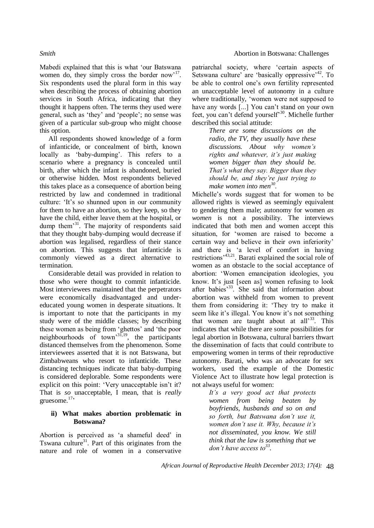Mabedi explained that this is what 'our Batswana women do, they simply cross the border now<sup>17</sup>. Six respondents used the plural form in this way when describing the process of obtaining abortion services in South Africa, indicating that they thought it happens often. The terms they used were general, such as 'they' and 'people'; no sense was given of a particular sub-group who might choose this option.

All respondents showed knowledge of a form of infanticide, or concealment of birth, known locally as 'baby-dumping'. This refers to a scenario where a pregnancy is concealed until birth, after which the infant is abandoned, buried or otherwise hidden. Most respondents believed this takes place as a consequence of abortion being restricted by law and condemned in traditional culture: 'It's so shunned upon in our community for them to have an abortion, so they keep, so they have the child, either leave them at the hospital, or dump them'<sup>31</sup>. The majority of respondents said that they thought baby-dumping would decrease if abortion was legalised, regardless of their stance on abortion. This suggests that infanticide is commonly viewed as a direct alternative to termination.

Considerable detail was provided in relation to those who were thought to commit infanticide. Most interviewees maintained that the perpetrators were economically disadvantaged and undereducated young women in desperate situations. It is important to note that the participants in my study were of the middle classes; by describing these women as being from 'ghettos' and 'the poor neighbourhoods of town<sup>31,19</sup>, the participants distanced themselves from the phenomenon. Some interviewees asserted that it is not Batswana, but Zimbabweans who resort to infanticide. These distancing techniques indicate that baby-dumping is considered deplorable. Some respondents were explicit on this point: 'Very unacceptable isn't it? That is *so* unacceptable, I mean, that is *really* gruesome.<sup>17</sup>'

### **ii) What makes abortion problematic in Botswana?**

Abortion is perceived as 'a shameful deed' in Tswana culture<sup>31</sup>. Part of this originates from the nature and role of women in a conservative

patriarchal society, where 'certain aspects of Setswana culture' are 'basically oppressive'<sup>42</sup>. To be able to control one's own fertility represented an unacceptable level of autonomy in a culture where traditionally, 'women were not supposed to have any words [...] You can't stand on your own feet, you can't defend yourself'<sup>30</sup>. Michelle further described this social attitude:

> *There are some discussions on the radio, the TV, they usually have these discussions. About why women's rights and whatever, it's just making women bigger than they should be. That's what they say. Bigger than they should be, and they're just trying to make women into men<sup>30</sup> .*

Michelle's words suggest that for women to be allowed rights is viewed as seemingly equivalent to gendering them male; autonomy for women *as women* is not a possibility. The interviews indicated that both men and women accept this situation, for 'women are raised to become a certain way and believe in their own inferiority' and there is 'a level of comfort in having restrictions<sup>,43,21</sup>. Barati explained the social role of women as an obstacle to the social acceptance of abortion: 'Women emancipation ideologies, you know. It's just [seen as] women refusing to look after babies'<sup>33</sup>. She said that information about abortion was withheld from women to prevent them from considering it: 'They try to make it seem like it's illegal. You know it's not something that women are taught about at all<sup>33</sup>. This indicates that while there are some possibilities for legal abortion in Botswana, cultural barriers thwart the dissemination of facts that could contribute to empowering women in terms of their reproductive autonomy. Barati, who was an advocate for sex workers, used the example of the Domestic Violence Act to illustrate how legal protection is not always useful for women:

> *It's a very good act that protects women from being beaten by boyfriends, husbands and so on and so forth, but Batswana don't use it, women don't use it. Why, because it's not disseminated, you know. We still think that the law is something that we don't have access to<sup>33</sup> .*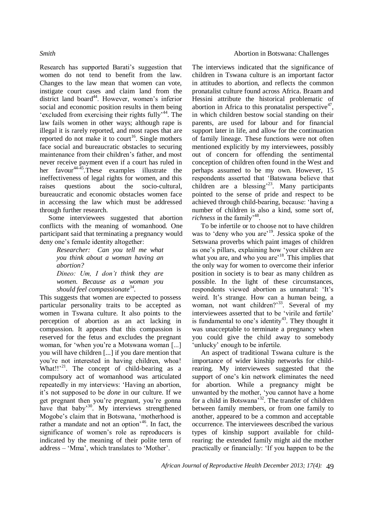Research has supported Barati's suggestion that women do not tend to benefit from the law. Changes to the law mean that women can vote, instigate court cases and claim land from the district land board<sup>44</sup>. However, women's inferior social and economic position results in them being 'excluded from exercising their rights fully'<sup>44</sup>. The law fails women in other ways; although rape is illegal it is rarely reported, and most rapes that are reported do not make it to court<sup>16</sup>. Single mothers face social and bureaucratic obstacles to securing maintenance from their children's father, and most never receive payment even if a court has ruled in her favour<sup>44-45</sup>. These examples illustrate the ineffectiveness of legal rights for women, and this raises questions about the socio-cultural, bureaucratic and economic obstacles women face in accessing the law which must be addressed through further research.

Some interviewees suggested that abortion conflicts with the meaning of womanhood. One participant said that terminating a pregnancy would deny one's female identity altogether:

> *Researcher: Can you tell me what you think about a woman having an abortion? Dineo: Um, I don't think they are*

*women. Because as a woman you should feel compassionate<sup>34</sup> .*

This suggests that women are expected to possess particular personality traits to be accepted as women in Tswana culture. It also points to the perception of abortion as an act lacking in compassion. It appears that this compassion is reserved for the fetus and excludes the pregnant woman, for 'when you're a Motswana woman [...] you will have children [...] if you dare mention that you're not interested in having children, whoa! What!!'<sup>21</sup>. The concept of child-bearing as a compulsory act of womanhood was articulated repeatedly in my interviews: 'Having an abortion, it's not supposed to be *done* in our culture. If we get pregnant then you're pregnant, you're gonna have that baby<sup>30</sup>. My interviews strengthened Mogobe's claim that in Botswana, 'motherhood is rather a mandate and not an option<sup>346</sup>. In fact, the significance of women's role as reproducers is indicated by the meaning of their polite term of address – 'Mma', which translates to 'Mother'.

The interviews indicated that the significance of children in Tswana culture is an important factor in attitudes to abortion, and reflects the common pronatalist culture found across Africa. Braam and Hessini attribute the historical problematic of abortion in Africa to this pronatalist perspective<sup>47</sup>, in which children bestow social standing on their parents, are used for labour and for financial support later in life, and allow for the continuation of family lineage. These functions were not often mentioned explicitly by my interviewees, possibly out of concern for offending the sentimental conception of children often found in the West and perhaps assumed to be my own. However, 15 respondents asserted that 'Batswana believe that children are a blessing'<sup>23</sup>. Many participants pointed to the sense of pride and respect to be achieved through child-bearing, because: 'having a number of children is also a kind, some sort of, richness in the family<sup>-48</sup>.

To be infertile or to choose not to have children was to 'deny who you are'<sup>19</sup>. Jessica spoke of the Setswana proverbs which paint images of children as one's pillars, explaining how 'your children are what you are, and who you are<sup>'18</sup>. This implies that the only way for women to overcome their inferior position in society is to bear as many children as possible. In the light of these circumstances, respondents viewed abortion as unnatural: 'It's weird. It's strange. How can a human being, a woman, not want children?'<sup>33</sup>. Several of my interviewees asserted that to be 'virile and fertile' is fundamental to one's identity<sup>43</sup>. They thought it was unacceptable to terminate a pregnancy when you could give the child away to somebody 'unlucky' enough to be infertile.

An aspect of traditional Tswana culture is the importance of wider kinship networks for childrearing. My interviewees suggested that the support of one's kin network eliminates the need for abortion. While a pregnancy might be unwanted by the mother, 'you cannot have a home for a child in Botswana<sup>32</sup>. The transfer of children between family members, or from one family to another, appeared to be a common and acceptable occurrence. The interviewees described the various types of kinship support available for childrearing: the extended family might aid the mother practically or financially: 'If you happen to be the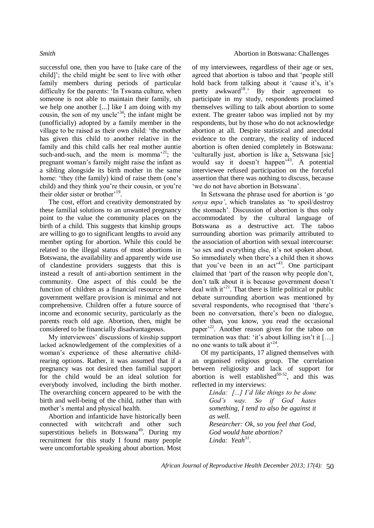successful one, then you have to [take care of the child]'; the child might be sent to live with other family members during periods of particular difficulty for the parents: 'In Tswana culture, when someone is not able to maintain their family, uh we help one another [...] like I am doing with my cousin, the son of my uncle<sup>34</sup>; the infant might be (unofficially) adopted by a family member in the village to be raised as their own child: 'the mother has given this child to another relative in the family and this child calls her real mother auntie such-and-such, and the mom is momma<sup>21</sup>; the pregnant woman's family might raise the infant as a sibling alongside its birth mother in the same home: 'they (the family) kind of raise them (one's child) and they think you're their cousin, or you're their older sister or brother<sup>, 19</sup>.

The cost, effort and creativity demonstrated by these familial solutions to an unwanted pregnancy point to the value the community places on the birth of a child. This suggests that kinship groups are willing to go to significant lengths to avoid any member opting for abortion. While this could be related to the illegal status of most abortions in Botswana, the availability and apparently wide use of clandestine providers suggests that this is instead a result of anti-abortion sentiment in the community. One aspect of this could be the function of children as a financial resource where government welfare provision is minimal and not comprehensive. Children offer a future source of income and economic security, particularly as the parents reach old age. Abortion, then, might be considered to be financially disadvantageous.

My interviewees' discussions of kinship support lacked acknowledgement of the complexities of a woman's experience of these alternative childrearing options. Rather, it was assumed that if a pregnancy was not desired then familial support for the child would be an ideal solution for everybody involved, including the birth mother. The overarching concern appeared to be with the birth and well-being of the child, rather than with mother's mental and physical health.

Abortion and infanticide have historically been connected with witchcraft and other such superstitious beliefs in Botswana<sup>49</sup>. During my recruitment for this study I found many people were uncomfortable speaking about abortion. Most

of my interviewees, regardless of their age or sex, agreed that abortion is taboo and that 'people still hold back from talking about it 'cause it's, it's pretty awkward<sup>18</sup>.' By their agreement to participate in my study, respondents proclaimed themselves willing to talk about abortion to some extent. The greater taboo was implied not by my respondents, but by those who do not acknowledge abortion at all. Despite statistical and anecdotal evidence to the contrary, the reality of induced abortion is often denied completely in Botswana: 'culturally just, abortion is like a, Setswana [sic] would say it doesn't happen<sup>,43</sup>. A potential interviewee refused participation on the forceful assertion that there was nothing to discuss, because 'we do not have abortion in Botswana'.

In Setswana the phrase used for abortion is '*go senya mpa'*, which translates as 'to spoil/destroy the stomach'. Discussion of abortion is thus only accommodated by the cultural language of Botswana as a destructive act. The taboo surrounding abortion was primarily attributed to the association of abortion with sexual intercourse: 'so sex and everything else, it's not spoken about. So immediately when there's a child then it shows that you've been in an  $act^{43}$ . One participant claimed that 'part of the reason why people don't, don't talk about it is because government doesn't deal with it<sup> $21$ </sup>. That there is little political or public debate surrounding abortion was mentioned by several respondents, who recognised that 'there's been no conversation, there's been no dialogue, other than, you know, you read the occasional paper'<sup>22</sup>. Another reason given for the taboo on termination was that: 'it's about killing isn't it […] no one wants to talk about it<sup> $24$ </sup>.

Of my participants, 17 aligned themselves with an organised religious group. The correlation between religiosity and lack of support for abortion is well established $50-52$ , and this was reflected in my interviews:

> *Linda: [...] I'd like things to be done God's way. So if God hates something, I tend to also be against it as well. Researcher: Ok, so you feel that God, God would hate abortion? Linda: Yeah<sup>31</sup> .*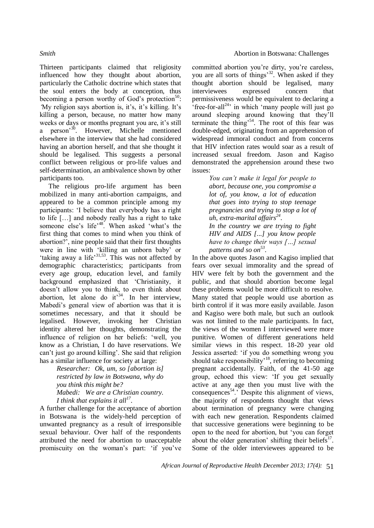Thirteen participants claimed that religiosity influenced how they thought about abortion, particularly the Catholic doctrine which states that the soul enters the body at conception, thus becoming a person worthy of God's protection $50$ : *'*My religion says abortion is, it's, it's killing. It's killing a person, because, no matter how many weeks or days or months pregnant you are, it's still a person<sup>30</sup>. However, Michelle mentioned elsewhere in the interview that she had considered having an abortion herself, and that she thought it should be legalised. This suggests a personal conflict between religious or pro-life values and self-determination, an ambivalence shown by other participants too.

The religious pro-life argument has been mobilized in many anti-abortion campaigns, and appeared to be a common principle among my participants: 'I believe that everybody has a right to life […] and nobody really has a right to take someone else's life<sup>-48</sup>. When asked 'what's the first thing that comes to mind when you think of abortion?', nine people said that their first thoughts were in line with 'killing an unborn baby' or 'taking away a life'31,53. This was not affected by demographic characteristics; participants from every age group, education level, and family background emphasized that 'Christianity, it doesn't allow you to think, to even think about abortion, let alone do it<sup>34</sup>. In her interview, Mabedi's general view of abortion was that it is sometimes necessary, and that it should be legalised. However, invoking her Christian identity altered her thoughts, demonstrating the influence of religion on her beliefs: 'well, you know as a Christian, I do have reservations. We can't just go around killing'. She said that religion has a similar influence for society at large:

> *Researcher: Ok, um, so [abortion is] restricted by law in Botswana, why do you think this might be? Mabedi: We are a Christian country. I think that explains it all<sup>17</sup> .*

A further challenge for the acceptance of abortion in Botswana is the widely-held perception of unwanted pregnancy as a result of irresponsible sexual behaviour. Over half of the respondents attributed the need for abortion to unacceptable promiscuity on the woman's part: 'if you've committed abortion you're dirty, you're careless, you are all sorts of things<sup>32</sup>. When asked if they thought abortion should be legalised, many interviewees expressed concern that permissiveness would be equivalent to declaring a  $\text{``free-for-all}^{24}$  in which 'many people will just go around sleeping around knowing that they'll terminate the thing'<sup>54</sup>. The root of this fear was double-edged, originating from an apprehension of widespread immoral conduct and from concerns that HIV infection rates would soar as a result of increased sexual freedom. Jason and Kagiso demonstrated the apprehension around these two issues:

> *You can't make it legal for people to abort, because one, you compromise a lot of, you know, a lot of education that goes into trying to stop teenage pregnancies and trying to stop a lot of uh, extra-marital affairs<sup>24</sup> . In the country we are trying to fight HIV and AIDS [...] you know people have to change their ways […] sexual*

*patterns and so on<sup>53</sup> .*  In the above quotes Jason and Kagiso implied that fears over sexual immorality and the spread of HIV were felt by both the government and the public, and that should abortion become legal these problems would be more difficult to resolve. Many stated that people would use abortion as birth control if it was more easily available. Jason and Kagiso were both male, but such an outlook was not limited to the male participants. In fact, the views of the women I interviewed were more punitive. Women of different generations held similar views in this respect. 18-20 year old Jessica asserted: 'if you do something wrong you should take responsibility<sup> $18$ </sup>, referring to becoming pregnant accidentally. Faith, of the 41-50 age group, echoed this view: 'If you get sexually active at any age then you must live with the consequences<sup>54</sup>.' Despite this alignment of views, the majority of respondents thought that views about termination of pregnancy were changing with each new generation. Respondents claimed that successive generations were beginning to be open to the need for abortion, but 'you can forget about the older generation' shifting their beliefs $17$ . Some of the older interviewees appeared to be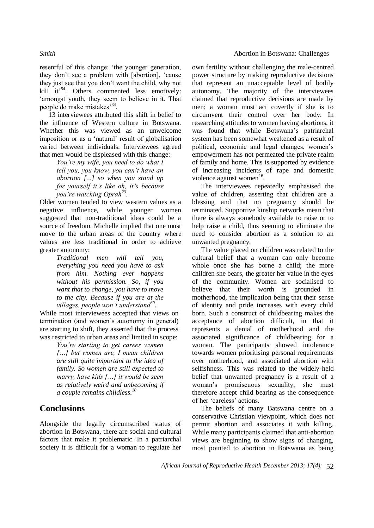resentful of this change: 'the younger generation, they don't see a problem with [abortion], 'cause they just see that you don't want the child, why not kill it<sup>54</sup>. Others commented less emotively: 'amongst youth, they seem to believe in it. That people do make mistakes<sup>'34</sup>.

13 interviewees attributed this shift in belief to the influence of Western culture in Botswana. Whether this was viewed as an unwelcome imposition or as a 'natural' result of globalisation varied between individuals. Interviewees agreed that men would be displeased with this change:

> *You're my wife, you need to do what I tell you, you know, you can't have an abortion [...] so when you stand up for yourself it's like oh, it's because you're watching Oprah<sup>23</sup> .*

Older women tended to view western values as a negative influence, while younger women suggested that non-traditional ideas could be a source of freedom. Michelle implied that one must move to the urban areas of the country where values are less traditional in order to achieve greater autonomy:

> *Traditional men will tell you, everything you need you have to ask from him. Nothing ever happens without his permission. So, if you want that to change, you have to move to the city. Because if you are at the villages, people won't understand<sup>30</sup> .*

While most interviewees accepted that views on termination (and women's autonomy in general) are starting to shift, they asserted that the process was restricted to urban areas and limited in scope:

> *You're starting to get career women […] but women are, I mean children are still quite important to the idea of family. So women are still expected to marry, have kids […] it would be seen as relatively weird and unbecoming if a couple remains childless.<sup>20</sup>*

## **Conclusions**

Alongside the legally circumscribed status of abortion in Botswana, there are social and cultural factors that make it problematic. In a patriarchal society it is difficult for a woman to regulate her

own fertility without challenging the male-centred power structure by making reproductive decisions that represent an unacceptable level of bodily autonomy. The majority of the interviewees claimed that reproductive decisions are made by men; a woman must act covertly if she is to circumvent their control over her body. In researching attitudes to women having abortions, it was found that while Botswana's patriarchal system has been somewhat weakened as a result of political, economic and legal changes, women's empowerment has not permeated the private realm of family and home. This is supported by evidence of increasing incidents of rape and domestic violence against women<sup>16</sup>.

The interviewees repeatedly emphasised the value of children, asserting that children are a blessing and that no pregnancy should be terminated. Supportive kinship networks mean that there is always somebody available to raise or to help raise a child, thus seeming to eliminate the need to consider abortion as a solution to an unwanted pregnancy.

The value placed on children was related to the cultural belief that a woman can only become whole once she has borne a child; the more children she bears, the greater her value in the eyes of the community. Women are socialised to believe that their worth is grounded in motherhood, the implication being that their sense of identity and pride increases with every child born. Such a construct of childbearing makes the acceptance of abortion difficult, in that it represents a denial of motherhood and the associated significance of childbearing for a woman. The participants showed intolerance towards women prioritising personal requirements over motherhood, and associated abortion with selfishness. This was related to the widely-held belief that unwanted pregnancy is a result of a woman's promiscuous sexuality; she must therefore accept child bearing as the consequence of her 'careless' actions.

The beliefs of many Batswana centre on a conservative Christian viewpoint, which does not permit abortion and associates it with killing. While many participants claimed that anti-abortion views are beginning to show signs of changing, most pointed to abortion in Botswana as being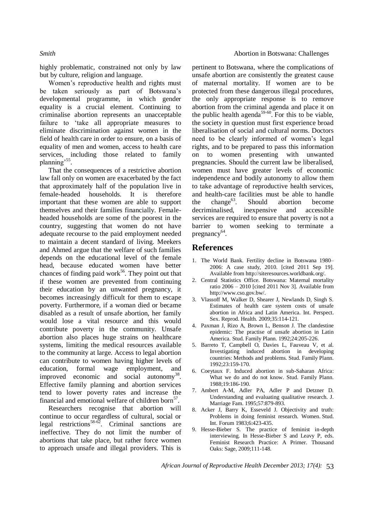highly problematic, constrained not only by law but by culture, religion and language.

Women's reproductive health and rights must be taken seriously as part of Botswana's developmental programme, in which gender equality is a crucial element. Continuing to criminalise abortion represents an unacceptable failure to 'take all appropriate measures to eliminate discrimination against women in the field of health care in order to ensure, on a basis of equality of men and women, access to health care services, including those related to family planning'<sup>55</sup>.

That the consequences of a restrictive abortion law fall only on women are exacerbated by the fact that approximately half of the population live in female-headed households. It is therefore important that these women are able to support themselves and their families financially. Femaleheaded households are some of the poorest in the country, suggesting that women do not have adequate recourse to the paid employment needed to maintain a decent standard of living. Meekers and Ahmed argue that the welfare of such families depends on the educational level of the female head, because educated women have better chances of finding paid work $56$ . They point out that if these women are prevented from continuing their education by an unwanted pregnancy, it becomes increasingly difficult for them to escape poverty. Furthermore, if a woman died or became disabled as a result of unsafe abortion, her family would lose a vital resource and this would contribute poverty in the community. Unsafe abortion also places huge strains on healthcare systems, limiting the medical resources available to the community at large. Access to legal abortion can contribute to women having higher levels of education, formal wage employment, and improved economic and social autonomy<sup>38</sup>. Effective family planning and abortion services tend to lower poverty rates and increase the financial and emotional welfare of children born<sup>57</sup>.

Researchers recognise that abortion will continue to occur regardless of cultural, social or legal restrictions<sup>58-62</sup>. Criminal sanctions are ineffective. They do not limit the number of abortions that take place, but rather force women to approach unsafe and illegal providers. This is

pertinent to Botswana, where the complications of unsafe abortion are consistently the greatest cause of maternal mortality. If women are to be protected from these dangerous illegal procedures, the only appropriate response is to remove abortion from the criminal agenda and place it on the public health agenda<sup>59-60</sup>. For this to be viable, the society in question must first experience broad liberalisation of social and cultural norms. Doctors need to be clearly informed of women's legal rights, and to be prepared to pass this information on to women presenting with unwanted pregnancies. Should the current law be liberalised, women must have greater levels of economic independence and bodily autonomy to allow them to take advantage of reproductive health services, and health-care facilities must be able to handle the change<sup>63</sup>. Should abortion become decriminalised, inexpensive and accessible services are required to ensure that poverty is not a barrier to women seeking to terminate a pregnancy<sup>64</sup>.

## **References**

- 1. The World Bank. Fertility decline in Botswana 1980– 2006: A case study, 2010. [cited 2011 Sep 19]. Available from http://siteresources.worldbank.org/.
- 2. Central Statistics Office. Botswana: Maternal mortality ratio 2006 – 2010 [cited 2011 Nov 3]. Available from http://www.cso.gov.bw/.
- 3. Vlassoff M, Walker D, Shearer J, Newlands D, Singh S. Estimates of health care system costs of unsafe abortion in Africa and Latin America. Int. Perspect. Sex. Reprod. Health. 2009;35:114-121.
- 4. Paxman J, Rizo A, Brown L, Benson J. The clandestine epidemic: The practise of unsafe abortion in Latin America. Stud. Family Plann. 1992;24:205-226.
- 5. Barreto T, Campbell O, Davies L, Fauveau V, et al. Investigating induced abortion in developing countries: Methods and problems. Stud. Family Plann. 1992;23:159-170.
- 6. Coeytaux F. Induced abortion in sub-Saharan Africa: What we do and do not know. Stud. Family Plann. 1988;19:186-190.
- 7. Ambert A-M, Adler PA, Adler P and Detzner D. Understanding and evaluating qualitative research. J. Marriage Fam. 1995;57:879-893.
- 8. Acker J, Barry K, Esseveld J. Objectivity and truth: Problems in doing feminist research. Women. Stud. Int. Forum 1983;6:423-435.
- 9. Hesse-Bieber S. The practice of feminist in-depth interviewing. In Hesse-Bieber S and Leavy P, eds. Feminist Research Practice: A Primer. Thousand Oaks: Sage, 2009;111-148.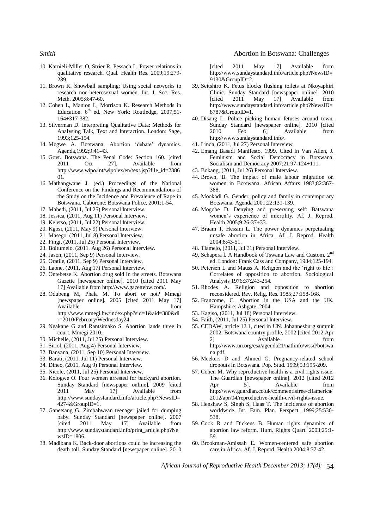- 10. Karnieli-Miller O, Strier R, Pessach L. Power relations in qualitative research. Qual. Health Res. 2009;19:279- 289.
- 11. Brown K. Snowball sampling: Using social networks to research non-heterosexual women. Int. J. Soc. Res. Meth. 2005:8:47-60.
- 12. Cohen L, Manion L, Morrison K. Research Methods in Education. 6<sup>th</sup> ed. New York: Routledge, 2007;51-164+317-382.
- 13. Silverman D. Interpreting Qualitative Data: Methods for Analysing Talk, Text and Interaction. London: Sage, 1993;125-194.
- 14. Mogwe A. Botswana: Abortion 'debate' dynamics. Agenda,1992;9:41-43.
- 15. Govt. Botswana. The Penal Code: Section 160. [cited 2011 Oct 27]. Available from http://www.wipo.int/wipolex/en/text.jsp?file\_id=2386 01.
- 16. Mathangwane J. (ed.) Proceedings of the National Conference on the Findings and Recommendations of the Study on the Incidence and Prevalence of Rape in Botswana. Gaborone: Botswana Police, 2001;1-54.
- 17. Mabedi, (2011, Jul 25) Personal Interview.
- 18. Jessica, (2011, Aug 11) Personal Interview.
- 19. Keletso, (2011, Jul 22) Personal Interview.
- 20. Kgosi, (2011, May 9) Personal Interview.
- 21. Masego, (2011, Jul 8) Personal Interview.
- 22. Fingi, (2011, Jul 25) Personal Interview.
- 23. Boitumelo, (2011, Aug 26) Personal Interview.
- 24. Jason, (2011, Sep 9) Personal Interview.
- 25. Oratile, (2011, Sep 9) Personal Interview.
- 26. Laone, (2011, Aug 17) Personal Interview.
- 27. Ontebetse K. Abortion drug sold in the streets. Botswana Gazette [newspaper online]. 2010 [cited 2011 May 17] Available from http://www.gazettebw.com/.
- 28. Odubeng M, Phala M. To abort or not? Mmegi [newspaper online]. 2005 [cited 2011 May 17] Available from the from the state of  $\sim$ http://www.mmegi.bw/index.php?sid=1&aid=380&di
- r=2010/February/Wednesday24. 29. Ngakane G and Rantsimako S. Abortion lands three in court. Mmegi 2010.
- 30. Michelle, (2011, Jul 25) Personal Interview.
- 31. Siriol, (2011, Aug 4) Personal Interview.
- 32. Banyana, (2011, Sep 10) Personal Interview.
- 33. Barati, (2011, Jul 11) Personal Interview.
- 34. Dineo, (2011, Aug 9) Personal Interview.
- 35. Nicole, (2011, Jul 25) Personal Interview.
- 36. Kologwe O. Four women arrested for backyard abortion. Sunday Standard [newspaper online]. 2009 [cited 2011 May 17] Available from http://www.sundaystandard.info/article.php?NewsID= 4274&GroupID=1.
- 37. Ganetsang G. Zimbabwean teenager jailed for dumping baby. Sunday Standard [newspaper online]. 2007 [cited 2011 May 17] Available from http://www.sundaystandard.info/print\_article.php?Ne  $wsID=1806$ .
- 38. Madibana K. Back-door abortions could be increasing the death toll. Sunday Standard [newspaper online]. 2010

### *Smith* **Abortion in Botswana: Challenges**

[cited 2011 May 17] Available from http://www.sundaystandard.info/article.php?NewsID= 9130&GroupID=2.

- 39. Seitshiro K. Fetus blocks flushing toilets at Nkoyaphiri Clinic. Sunday Standard [newspaper online]. 2010 [cited 2011 May 17] Available from http://www.sundaystandard.info/article.php?NewsID= 8787&GroupID=1.
- 40. Disang L. Police picking human fetuses around town. Sunday Standard [newspaper online]. 2010 [cited 2010 Feb 6] Available from http://www.sundaystandard.info/.
- 41. Linda, (2011, Jul 27) Personal Interview.
- 42. Emang Basadi Manifesto. 1999. Cited in Van Allen, J. Feminism and Social Democracy in Botswana. Socialism and Democracy 2007;21:97-124+111.
- 43. Bokang, (2011, Jul 26) Personal Interview.
- 44. Brown, B. The impact of male labour migration on women in Botswana. African Affairs 1983;82:367- 388.
- 45. Mookodi G. Gender, policy and family in contemporary Botswana. Agenda 2001;22:131-139.
- 46. Mogobe D. Denying and preserving self: Batswana women's experience of infertility. Af. J. Reprod. Health 2005;9:26-37+33.
- 47. Braam T, Hessini L. The power dynamics perpetuating unsafe abortion in Africa. Af. J. Reprod. Health 2004;8:43-51.
- 48. Tlamelo, (2011, Jul 31) Personal Interview.
- 49. Schapera l. A Handbook of Tswana Law and Custom. 2nd ed. London: Frank Cass and Company, 1984;125-194.
- 50. Petersen L and Mauss A. Religion and the 'right to life': Correlates of opposition to abortion. Sociological Analysis 1976;37:243-254.
- 51. Rhodes A. Religion and opposition to abortion reconsidered. Rev. Relig. Res. 1985;27:158-168.
- 52. Francome, C. Abortion in the USA and the UK. Hampshire: Ashgate, 2004.
- 53. Kagiso, (2011, Jul 18) Personal Interview.
- 54. Faith, (2011, Jul 25) Personal Interview.
- 55. CEDAW, article 12.1, cited in UN. Johannesburg summit 2002: Botswana country profile, 2002 [cited 2012 Apr 2] Available from http://www.un.org/esa/agenda21/natlinfo/wssd/botswa na.pdf.
- 56. Meekers D and Ahmed G. Pregnancy-related school dropouts in Botswana. Pop. Stud. 1999;53:195-209.
- 57. Cohen M. Why reproductive health is a civil rights issue. The Guardian [newspaper online]. 2012 [cited 2012 Apr 5]. Available from http://www.guardian.co.uk/commentisfree/cifamerica/ 2012/apr/04/reproductive-health-civil-rights-issue.
- 58. Henshaw S, Singh S, Haas T. The incidence of abortion worldwide. Int. Fam. Plan. Perspect. 1999;25:530- 538.
- 59. Cook R and Dickens B. Human rights dynamics of abortion law reform. Hum. Rights Quart. 2003;25:1- 59.
- 60. Brookman-Amissah E. Women-centered safe abortion care in Africa. Af. J. Reprod. Health 2004;8:37-42.